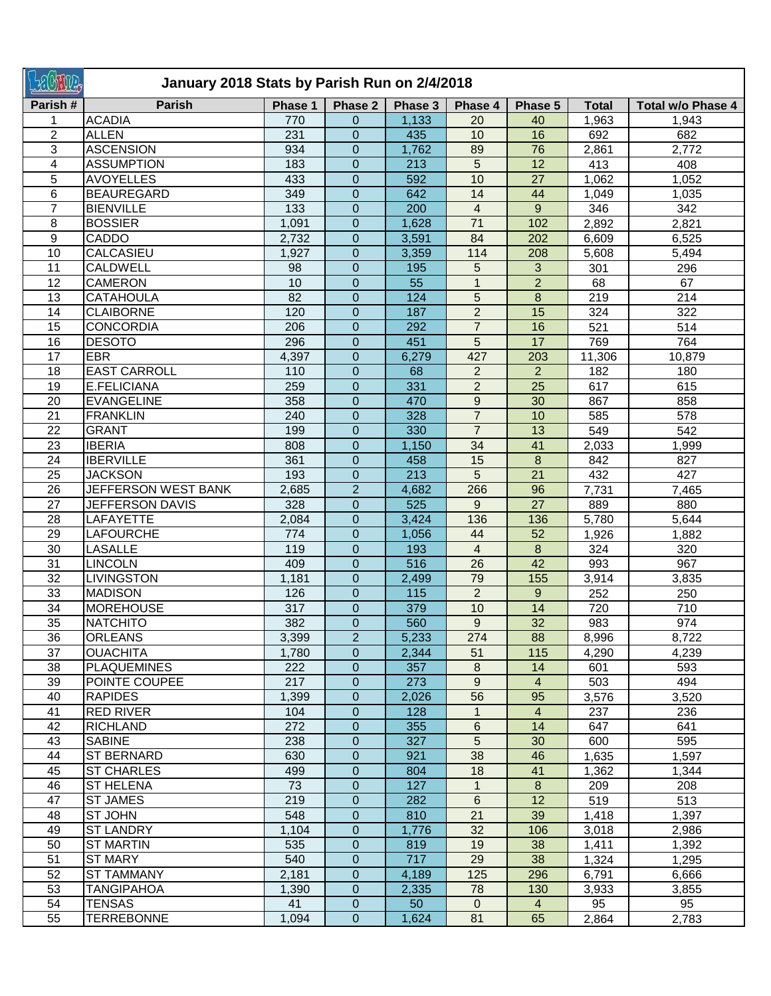|                 | January 2018 Stats by Parish Run on 2/4/2018 |            |                               |            |                                  |                 |              |                   |  |  |
|-----------------|----------------------------------------------|------------|-------------------------------|------------|----------------------------------|-----------------|--------------|-------------------|--|--|
| Parish#         | <b>Parish</b>                                | Phase 1    | Phase 2                       | Phase 3    | Phase 4                          | Phase 5         | <b>Total</b> | Total w/o Phase 4 |  |  |
|                 | <b>ACADIA</b>                                | 770        | $\Omega$                      | 1,133      | 20                               | 40              | 1,963        | 1,943             |  |  |
| $\overline{2}$  | <b>ALLEN</b>                                 | 231        | $\mathbf 0$                   | 435        | 10                               | 16              | 692          | 682               |  |  |
| 3               | <b>ASCENSION</b>                             | 934        | $\mathbf{0}$                  | 1,762      | 89                               | 76              | 2,861        | 2,772             |  |  |
| 4               | <b>ASSUMPTION</b>                            | 183        | $\mathbf 0$                   | 213        | 5                                | 12              | 413          | 408               |  |  |
| 5               | <b>AVOYELLES</b>                             | 433        | $\mathbf 0$                   | 592        | 10                               | $\overline{27}$ | 1,062        | 1,052             |  |  |
| 6               | <b>BEAUREGARD</b>                            | 349        | $\mathbf 0$                   | 642        | 14                               | 44              | 1,049        | 1,035             |  |  |
| $\overline{7}$  | <b>BIENVILLE</b>                             | 133        | $\mathbf 0$                   | 200        | $\overline{4}$                   | 9               | 346          | 342               |  |  |
| 8               | <b>BOSSIER</b>                               | 1,091      | $\mathbf 0$                   | 1,628      | 71                               | 102             | 2,892        | 2,821             |  |  |
| 9               | CADDO                                        | 2,732      | $\overline{0}$                | 3,591      | 84                               | 202             | 6,609        | 6,525             |  |  |
| 10              | CALCASIEU                                    | 1,927      | 0                             | 3,359      | 114                              | 208             | 5,608        | 5,494             |  |  |
| 11              | <b>CALDWELL</b>                              | 98         | $\mathbf 0$                   | 195        | 5                                | 3               | 301          | 296               |  |  |
| 12              | <b>CAMERON</b>                               | 10         | $\mathbf 0$                   | 55         | $\mathbf{1}$                     | $\overline{2}$  | 68           | 67                |  |  |
| 13              | <b>CATAHOULA</b>                             | 82         | $\mathbf 0$                   | 124        | 5                                | 8               | 219          | 214               |  |  |
| 14              | <b>CLAIBORNE</b>                             | 120        | $\mathbf 0$                   | 187        | $\overline{2}$                   | 15              | 324          | 322               |  |  |
| 15              | <b>CONCORDIA</b>                             | 206        | $\mathbf 0$                   | 292        | $\overline{7}$                   | 16              | 521          | 514               |  |  |
| 16              | <b>DESOTO</b>                                | 296        | $\mathbf 0$                   | 451        | 5                                | 17              | 769          | 764               |  |  |
| 17              | <b>EBR</b>                                   | 4,397      | $\mathbf 0$                   | 6,279      | 427                              | 203             | 11,306       | 10,879            |  |  |
| 18              | <b>EAST CARROLL</b>                          | 110        | $\overline{0}$                | 68         | $\overline{2}$                   | $\overline{2}$  | 182          | 180               |  |  |
| 19<br>20        | E.FELICIANA<br><b>EVANGELINE</b>             | 259        | $\mathbf 0$                   | 331        | $\overline{2}$<br>$\overline{9}$ | 25              | 617          | 615               |  |  |
| 21              |                                              | 358        | $\overline{0}$                | 470<br>328 | $\overline{7}$                   | 30<br>10        | 867          | 858               |  |  |
| 22              | <b>FRANKLIN</b><br><b>GRANT</b>              | 240<br>199 | $\mathbf 0$<br>$\overline{0}$ | 330        | $\overline{7}$                   | $\overline{13}$ | 585<br>549   | 578<br>542        |  |  |
| 23              | <b>IBERIA</b>                                | 808        | $\mathbf 0$                   | 1,150      | 34                               | 41              | 2,033        | 1,999             |  |  |
| $\overline{24}$ | <b>IBERVILLE</b>                             | 361        | $\overline{0}$                | 458        | 15                               | $\bf{8}$        | 842          | 827               |  |  |
| 25              | <b>JACKSON</b>                               | 193        | $\mathbf 0$                   | 213        | 5                                | $\overline{21}$ | 432          | 427               |  |  |
| 26              | JEFFERSON WEST BANK                          | 2,685      | $\overline{2}$                | 4,682      | 266                              | 96              | 7,731        | 7,465             |  |  |
| 27              | <b>JEFFERSON DAVIS</b>                       | 328        | 0                             | 525        | 9                                | 27              | 889          | 880               |  |  |
| 28              | LAFAYETTE                                    | 2,084      | 0                             | 3,424      | 136                              | 136             | 5,780        | 5,644             |  |  |
| 29              | <b>LAFOURCHE</b>                             | 774        | 0                             | 1,056      | 44                               | 52              | 1,926        | 1,882             |  |  |
| 30              | <b>LASALLE</b>                               | 119        | $\overline{0}$                | 193        | 4                                | 8               | 324          | 320               |  |  |
| 31              | <b>LINCOLN</b>                               | 409        | $\overline{0}$                | 516        | 26                               | 42              | 993          | 967               |  |  |
| 32              | <b>LIVINGSTON</b>                            | 1,181      | $\mathbf 0$                   | 2,499      | 79                               | 155             | 3,914        | 3,835             |  |  |
| 33              | <b>MADISON</b>                               | 126        | $\overline{0}$                | 115        | $\overline{2}$                   | 9               | 252          | 250               |  |  |
| 34              | <b>MOREHOUSE</b>                             | 317        | 0                             | 379        | 10                               | 14              | 720          | 710               |  |  |
| 35              | <b>NATCHITO</b>                              | 382        | $\Omega$                      | 560        | $9^{\circ}$                      | 32              | 983          | 974               |  |  |
| 36              | <b>ORLEANS</b>                               | 3,399      | $\overline{2}$                | 5,233      | 274                              | 88              | 8,996        | 8,722             |  |  |
| 37              | <b>OUACHITA</b>                              | 1,780      | $\mathbf{0}$                  | 2,344      | 51                               | 115             | 4,290        | 4,239             |  |  |
| 38              | <b>PLAQUEMINES</b>                           | 222        | $\mathbf{0}$                  | 357        | 8                                | 14              | 601          | 593               |  |  |
| 39              | POINTE COUPEE                                | 217        | $\mathbf{0}$                  | 273        | 9                                | $\overline{4}$  | 503          | 494               |  |  |
| 40              | <b>RAPIDES</b>                               | 1,399      | $\mathbf{0}$                  | 2,026      | 56                               | 95              | 3,576        | 3,520             |  |  |
| 41              | RED RIVER                                    | 104        | $\overline{0}$                | 128        | $\mathbf{1}$                     | $\overline{4}$  | 237          | 236               |  |  |
| 42              | <b>RICHLAND</b>                              | 272        | $\overline{0}$                | 355        | 6                                | 14              | 647          | 641               |  |  |
| 43              | <b>SABINE</b>                                | 238        | 0                             | 327        | 5                                | 30              | 600          | 595               |  |  |
| 44              | <b>ST BERNARD</b>                            | 630        | $\overline{0}$                | 921        | 38                               | 46              | 1,635        | 1,597             |  |  |
| 45              | <b>ST CHARLES</b>                            | 499        | 0                             | 804        | 18                               | 41              | 1,362        | 1,344             |  |  |
| 46              | <b>ST HELENA</b>                             | 73         | $\overline{0}$                | 127        | $\mathbf{1}$                     | 8               | 209          | 208               |  |  |
| 47              | <b>ST JAMES</b>                              | 219        | 0                             | 282        | 6                                | 12              | 519          | 513               |  |  |
| 48              | ST JOHN                                      | 548        | $\mathbf{0}$                  | 810        | 21                               | 39              | 1,418        | 1,397             |  |  |
| 49              | <b>ST LANDRY</b>                             | 1,104      | $\mathbf{0}$                  | 1,776      | 32                               | 106             | 3,018        | 2,986             |  |  |
| 50              | <b>ST MARTIN</b>                             | 535        | $\mathbf{0}$                  | 819        | 19                               | 38              | 1,411        | 1,392             |  |  |
| 51              | ST MARY                                      | 540        | 0                             | 717        | 29                               | 38              | 1,324        | 1,295             |  |  |
| 52              | <b>ST TAMMANY</b>                            | 2,181      | $\mathbf{0}$                  | 4,189      | 125                              | 296             | 6,791        | 6,666             |  |  |
| 53              | <b>TANGIPAHOA</b>                            | 1,390      | $\overline{0}$                | 2,335      | 78                               | 130             | 3,933        | 3,855             |  |  |
| 54              | <b>TENSAS</b>                                | 41         | $\mathbf{0}$                  | 50         | $\overline{0}$                   | $\overline{4}$  | 95           | 95                |  |  |
| 55              | <b>TERREBONNE</b>                            | 1,094      | $\mathbf 0$                   | 1,624      | 81                               | 65              | 2,864        | 2,783             |  |  |